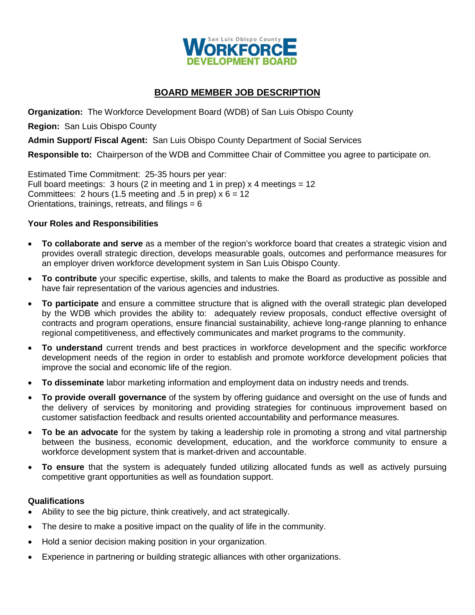

# **BOARD MEMBER JOB DESCRIPTION**

**Organization:** The Workforce Development Board (WDB) of San Luis Obispo County

**Region:** San Luis Obispo County

**Admin Support/ Fiscal Agent:** San Luis Obispo County Department of Social Services

**Responsible to:** Chairperson of the WDB and Committee Chair of Committee you agree to participate on.

Estimated Time Commitment: 25-35 hours per year: Full board meetings:  $3$  hours ( $2$  in meeting and  $1$  in prep)  $x$  4 meetings =  $12$ Committees: 2 hours (1.5 meeting and .5 in prep)  $x 6 = 12$ Orientations, trainings, retreats, and filings  $= 6$ 

# **Your Roles and Responsibilities**

- **To collaborate and serve** as a member of the region's workforce board that creates a strategic vision and provides overall strategic direction, develops measurable goals, outcomes and performance measures for an employer driven workforce development system in San Luis Obispo County.
- **To contribute** your specific expertise, skills, and talents to make the Board as productive as possible and have fair representation of the various agencies and industries.
- **To participate** and ensure a committee structure that is aligned with the overall strategic plan developed by the WDB which provides the ability to: adequately review proposals, conduct effective oversight of contracts and program operations, ensure financial sustainability, achieve long-range planning to enhance regional competitiveness, and effectively communicates and market programs to the community.
- **To understand** current trends and best practices in workforce development and the specific workforce development needs of the region in order to establish and promote workforce development policies that improve the social and economic life of the region.
- **To disseminate** labor marketing information and employment data on industry needs and trends.
- **To provide overall governance** of the system by offering guidance and oversight on the use of funds and the delivery of services by monitoring and providing strategies for continuous improvement based on customer satisfaction feedback and results oriented accountability and performance measures.
- **To be an advocate** for the system by taking a leadership role in promoting a strong and vital partnership between the business, economic development, education, and the workforce community to ensure a workforce development system that is market-driven and accountable.
- **To ensure** that the system is adequately funded utilizing allocated funds as well as actively pursuing competitive grant opportunities as well as foundation support.

# **Qualifications**

- Ability to see the big picture, think creatively, and act strategically.
- The desire to make a positive impact on the quality of life in the community.
- Hold a senior decision making position in your organization.
- Experience in partnering or building strategic alliances with other organizations.